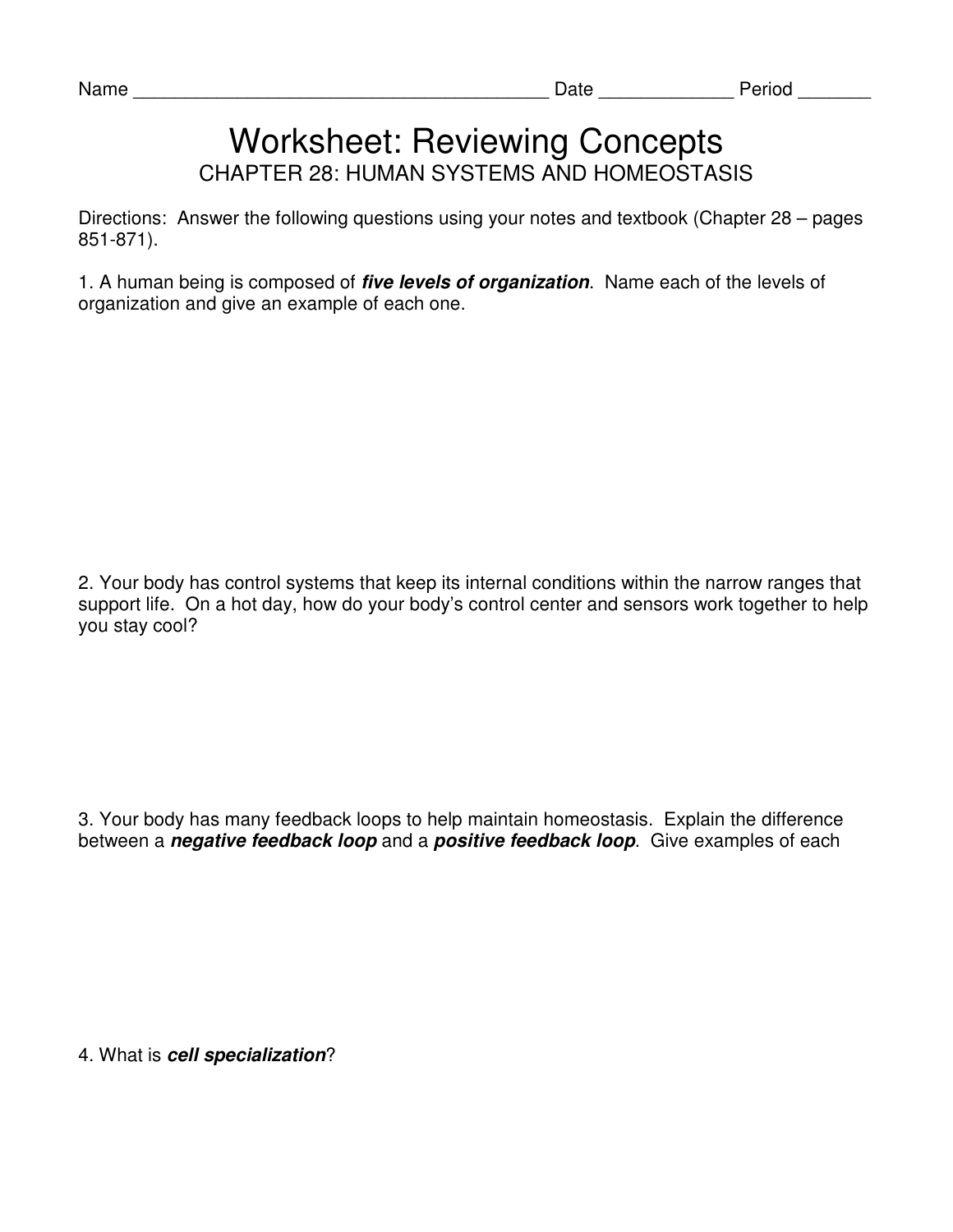## Worksheet: Reviewing Concepts CHAPTER 28: HUMAN SYSTEMS AND HOMEOSTASIS

Directions: Answer the following questions using your notes and textbook (Chapter 28 – pages 851-871).

1. A human being is composed of **five levels of organization**. Name each of the levels of organization and give an example of each one.

2. Your body has control systems that keep its internal conditions within the narrow ranges that support life. On a hot day, how do your body's control center and sensors work together to help you stay cool?

3. Your body has many feedback loops to help maintain homeostasis. Explain the difference between a **negative feedback loop** and a **positive feedback loop**. Give examples of each

4. What is **cell specialization**?